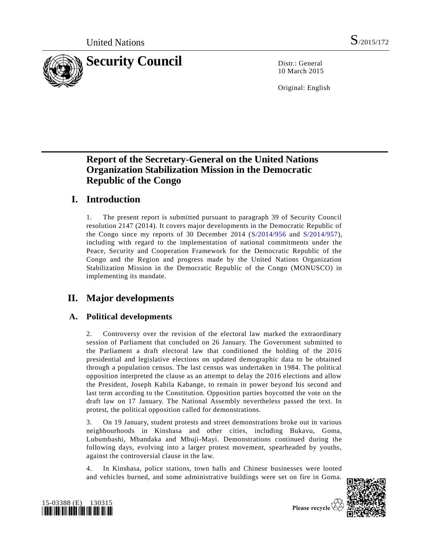

10 March 2015

Original: English

# **Report of the Secretary-General on the United Nations Organization Stabilization Mission in the Democratic Republic of the Congo**

# **I. Introduction**

1. The present report is submitted pursuant to paragraph 39 of Security Council resolution 2147 (2014). It covers major developments in the Democratic Republic of the Congo since my reports of 30 December 2014 [\(S/2014/956](http://undocs.org/S/2014/956) and [S/2014/957\)](http://undocs.org/S/2014/957), including with regard to the implementation of national commitments under the Peace, Security and Cooperation Framework for the Democratic Republic of the Congo and the Region and progress made by the United Nations Organization Stabilization Mission in the Democratic Republic of the Congo (MONUSCO) in implementing its mandate.

# **II. Major developments**

# **A. Political developments**

2. Controversy over the revision of the electoral law marked the extraordinary session of Parliament that concluded on 26 January. The Government submitted to the Parliament a draft electoral law that conditioned the holding of the 2016 presidential and legislative elections on updated demographic data to be obtained through a population census. The last census was undertaken in 1984. The political opposition interpreted the clause as an attempt to delay the 2016 elections and allow the President, Joseph Kabila Kabange, to remain in power beyond his second and last term according to the Constitution. Opposition parties boycotted the vote on the draft law on 17 January. The National Assembly nevertheless passed the text. In protest, the political opposition called for demonstrations.

3. On 19 January, student protests and street demonstrations broke out in various neighbourhoods in Kinshasa and other cities, including Bukavu, Goma, Lubumbashi, Mbandaka and Mbuji-Mayi. Demonstrations continued during the following days, evolving into a larger protest movement, spearheaded by youths, against the controversial clause in the law.

4. In Kinshasa, police stations, town halls and Chinese businesses were looted and vehicles burned, and some administrative buildings were set on fire in Goma.





Please recycle  $\mathcal{E}_k$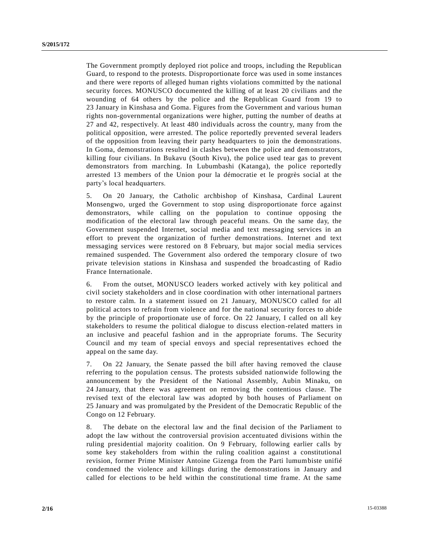The Government promptly deployed riot police and troops, including the Republican Guard, to respond to the protests. Disproportionate force was used in some instances and there were reports of alleged human rights violations committed by the national security forces. MONUSCO documented the killing of at least 20 civilians and the wounding of 64 others by the police and the Republican Guard from 19 to 23 January in Kinshasa and Goma. Figures from the Government and various human rights non-governmental organizations were higher, putting the number of deaths at 27 and 42, respectively. At least 480 individuals across the countr y, many from the political opposition, were arrested. The police reportedly prevented several leaders of the opposition from leaving their party headquarters to join the demonstrations. In Goma, demonstrations resulted in clashes between the police and demonstrators, killing four civilians. In Bukavu (South Kivu), the police used tear gas to prevent demonstrators from marching. In Lubumbashi (Katanga), the police reportedly arrested 13 members of the Union pour la démocratie et le progrès social at the party's local headquarters.

5. On 20 January, the Catholic archbishop of Kinshasa, Cardinal Laurent Monsengwo, urged the Government to stop using disproportionate force against demonstrators, while calling on the population to continue opposing the modification of the electoral law through peaceful means. On the same day, the Government suspended Internet, social media and text messaging services in an effort to prevent the organization of further demonstrations. Internet and text messaging services were restored on 8 February, but major social media services remained suspended. The Government also ordered the temporary closure of two private television stations in Kinshasa and suspended the broadcasting of Radio France Internationale.

6. From the outset, MONUSCO leaders worked actively with key political and civil society stakeholders and in close coordination with other international partners to restore calm. In a statement issued on 21 January, MONUSCO called for all political actors to refrain from violence and for the national security forces to abide by the principle of proportionate use of force. On 22 January, I called on all key stakeholders to resume the political dialogue to discuss election-related matters in an inclusive and peaceful fashion and in the appropriate forums. The Security Council and my team of special envoys and special representatives echoed the appeal on the same day.

7. On 22 January, the Senate passed the bill after having removed the clause referring to the population census. The protests subsided nationwide following the announcement by the President of the National Assembly, Aubin Minaku, on 24 January, that there was agreement on removing the contentious clause. The revised text of the electoral law was adopted by both houses of Parliament on 25 January and was promulgated by the President of the Democratic Republic of the Congo on 12 February.

8. The debate on the electoral law and the final decision of the Parliament to adopt the law without the controversial provision accentuated divisions within the ruling presidential majority coalition. On 9 February, following earlier calls by some key stakeholders from within the ruling coalition against a constitutional revision, former Prime Minister Antoine Gizenga from the Parti lumumbiste unifié condemned the violence and killings during the demonstrations in January and called for elections to be held within the constitutional time frame. At the same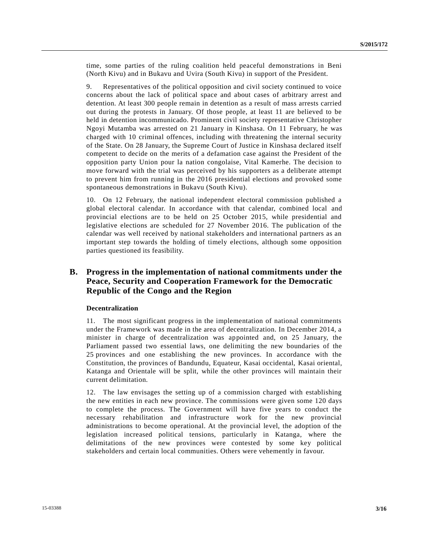time, some parties of the ruling coalition held peaceful demonstrations in Beni (North Kivu) and in Bukavu and Uvira (South Kivu) in support of the President.

9. Representatives of the political opposition and civil society continued to voice concerns about the lack of political space and about cases of arbitrary arrest and detention. At least 300 people remain in detention as a result of mass arrests carried out during the protests in January. Of those people, at least 11 are believed to be held in detention incommunicado. Prominent civil society representative Christopher Ngoyi Mutamba was arrested on 21 January in Kinshasa. On 11 February, he was charged with 10 criminal offences, including with threatening the internal security of the State. On 28 January, the Supreme Court of Justice in Kinshasa declared itself competent to decide on the merits of a defamation case against the President of the opposition party Union pour la nation congolaise, Vital Kamerhe. The decision to move forward with the trial was perceived by his supporters as a deliberate attempt to prevent him from running in the 2016 presidential elections and provoked some spontaneous demonstrations in Bukavu (South Kivu).

10. On 12 February, the national independent electoral commission published a global electoral calendar. In accordance with that calendar, combined local and provincial elections are to be held on 25 October 2015, while presidential and legislative elections are scheduled for 27 November 2016. The publication of the calendar was well received by national stakeholders and international partners as an important step towards the holding of timely elections, although some opposition parties questioned its feasibility.

## **B. Progress in the implementation of national commitments under the Peace, Security and Cooperation Framework for the Democratic Republic of the Congo and the Region**

#### **Decentralization**

11. The most significant progress in the implementation of national commitments under the Framework was made in the area of decentralization. In December 2014, a minister in charge of decentralization was appointed and, on 25 January, the Parliament passed two essential laws, one delimiting the new boundaries of the 25 provinces and one establishing the new provinces. In accordance with the Constitution, the provinces of Bandundu, Equateur, Kasai occidental, Kasai oriental, Katanga and Orientale will be split, while the other provinces will maintain their current delimitation.

12. The law envisages the setting up of a commission charged with establishing the new entities in each new province. The commissions were given some 120 days to complete the process. The Government will have five years to conduct the necessary rehabilitation and infrastructure work for the new provincial administrations to become operational. At the provincial level, the adoption of the legislation increased political tensions, particularly in Katanga, where the delimitations of the new provinces were contested by some key political stakeholders and certain local communities. Others were vehemently in favour.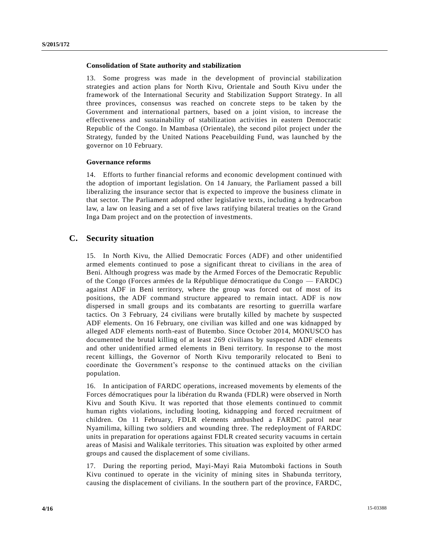#### **Consolidation of State authority and stabilization**

13. Some progress was made in the development of provincial stabilization strategies and action plans for North Kivu, Orientale and South Kivu under the framework of the International Security and Stabilization Support Strategy. In all three provinces, consensus was reached on concrete steps to be taken by the Government and international partners, based on a joint vision, to increase the effectiveness and sustainability of stabilization activities in eastern Democratic Republic of the Congo. In Mambasa (Orientale), the second pilot project under the Strategy, funded by the United Nations Peacebuilding Fund, was launched by the governor on 10 February.

#### **Governance reforms**

14. Efforts to further financial reforms and economic development continued with the adoption of important legislation. On 14 January, the Parliament passed a bill liberalizing the insurance sector that is expected to improve the business climate in that sector. The Parliament adopted other legislative texts, including a hydrocarbon law, a law on leasing and a set of five laws ratifying bilateral treaties on the Grand Inga Dam project and on the protection of investments.

#### **C. Security situation**

15. In North Kivu, the Allied Democratic Forces (ADF) and other unidentified armed elements continued to pose a significant threat to civilians in the area of Beni. Although progress was made by the Armed Forces of the Democratic Republic of the Congo (Forces armées de la République démocratique du Congo — FARDC) against ADF in Beni territory, where the group was forced out of most of its positions, the ADF command structure appeared to remain intact. ADF is now dispersed in small groups and its combatants are resorting to guerrilla warfare tactics. On 3 February, 24 civilians were brutally killed by machete by suspected ADF elements. On 16 February, one civilian was killed and one was kidnapped by alleged ADF elements north-east of Butembo. Since October 2014, MONUSCO has documented the brutal killing of at least 269 civilians by suspected ADF elements and other unidentified armed elements in Beni territory. In response to the most recent killings, the Governor of North Kivu temporarily relocated to Beni to coordinate the Government's response to the continued attacks on the civilian population.

16. In anticipation of FARDC operations, increased movements by elements of the Forces démocratiques pour la libération du Rwanda (FDLR) were observed in North Kivu and South Kivu. It was reported that those elements continued to commit human rights violations, including looting, kidnapping and forced recruitment of children. On 11 February, FDLR elements ambushed a FARDC patrol near Nyamilima, killing two soldiers and wounding three. The redeployment of FARDC units in preparation for operations against FDLR created security vacuums in certain areas of Masisi and Walikale territories. This situation was exploited by other armed groups and caused the displacement of some civilians.

17. During the reporting period, Mayi-Mayi Raia Mutomboki factions in South Kivu continued to operate in the vicinity of mining sites in Shabunda territory, causing the displacement of civilians. In the southern part of the province, FARDC,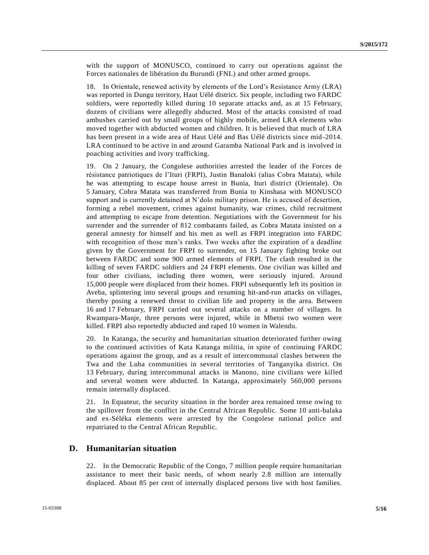with the support of MONUSCO, continued to carry out operations against the Forces nationales de libération du Burundi (FNL) and other armed groups.

18. In Orientale, renewed activity by elements of the Lord's Resistance Army (LRA) was reported in Dungu territory, Haut Uélé district. Six people, including two FARDC soldiers, were reportedly killed during 10 separate attacks and, as at 15 February, dozens of civilians were allegedly abducted. Most of the attacks consisted of road ambushes carried out by small groups of highly mobile, armed LRA elements who moved together with abducted women and children. It is believed that much of LRA has been present in a wide area of Haut Uélé and Bas Uélé districts since mid -2014. LRA continued to be active in and around Garamba National Park and is involved in poaching activities and ivory trafficking.

19. On 2 January, the Congolese authorities arrested the leader of the Forces de résistance patriotiques de l'Ituri (FRPI), Justin Banaloki (alias Cobra Matata), while he was attempting to escape house arrest in Bunia, Ituri district (Orientale). On 5 January, Cobra Matata was transferred from Bunia to Kinshasa with MONUSCO support and is currently detained at N'dolo military prison. He is accused of desertion, forming a rebel movement, crimes against humanity, war crimes, child recruitment and attempting to escape from detention. Negotiations with the Government for his surrender and the surrender of 812 combatants failed, as Cobra Matata insisted on a general amnesty for himself and his men as well as FRPI integration into FARDC with recognition of those men's ranks. Two weeks after the expiration of a deadline given by the Government for FRPI to surrender, on 15 January fighting broke out between FARDC and some 900 armed elements of FRPI. The clash resulted in the killing of seven FARDC soldiers and 24 FRPI elements. One civilian was killed and four other civilians, including three women, were seriously injured. Around 15,000 people were displaced from their homes. FRPI subsequently left its position in Aveba, splintering into several groups and resuming hit-and-run attacks on villages, thereby posing a renewed threat to civilian life and property in the area. Between 16 and 17 February, FRPI carried out several attacks on a number of villages. In Rwampara-Manje, three persons were injured, while in Mbetsi two women were killed. FRPI also reportedly abducted and raped 10 women in Walendu.

20. In Katanga, the security and humanitarian situation deteriorated further owing to the continued activities of Kata Katanga militia, in spite of continuing FARDC operations against the group, and as a result of intercommunal clashes between the Twa and the Luba communities in several territories of Tanganyika district. On 13 February, during intercommunal attacks in Manono, nine civilians were killed and several women were abducted. In Katanga, approximately 560,000 persons remain internally displaced.

21. In Equateur, the security situation in the border area remained tense owing to the spillover from the conflict in the Central African Republic. Some 10 anti-balaka and ex-Séléka elements were arrested by the Congolese national police and repatriated to the Central African Republic.

## **D. Humanitarian situation**

22. In the Democratic Republic of the Congo, 7 million people require humanitarian assistance to meet their basic needs, of whom nearly 2.8 million are internally displaced. About 85 per cent of internally displaced persons live with host families.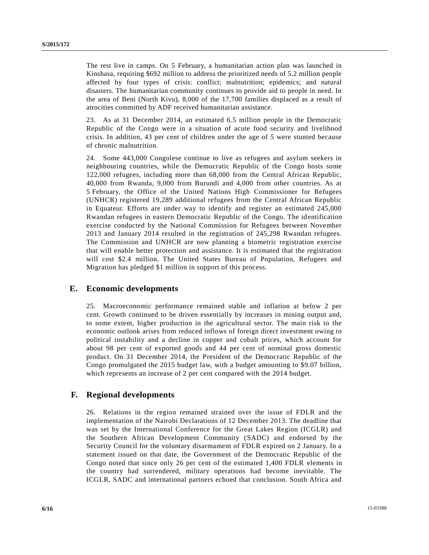The rest live in camps. On 5 February, a humanitarian action plan was launched in Kinshasa, requiring \$692 million to address the prioritized needs of 5.2 million people affected by four types of crisis: conflict; malnutrition; epidemics; and natural disasters. The humanitarian community continues to provide aid to people in need. In the area of Beni (North Kivu), 8,000 of the 17,700 families displaced as a result of atrocities committed by ADF received humanitarian assistance.

23. As at 31 December 2014, an estimated 6.5 million people in the Democratic Republic of the Congo were in a situation of acute food security and livelihood crisis. In addition, 43 per cent of children under the age of 5 were stunted because of chronic malnutrition.

24. Some 443,000 Congolese continue to live as refugees and asylum seekers in neighbouring countries, while the Democratic Republic of the Congo hosts some 122,000 refugees, including more than 68,000 from the Central African Republic, 40,000 from Rwanda, 9,000 from Burundi and 4,000 from other countries. As at 5 February, the Office of the United Nations High Commissioner for Refugees (UNHCR) registered 19,289 additional refugees from the Central African Republic in Equateur. Efforts are under way to identify and register an estimated 245,000 Rwandan refugees in eastern Democratic Republic of the Congo. The identification exercise conducted by the National Commission for Refugees between November 2013 and January 2014 resulted in the registration of 245,298 Rwandan refugees. The Commission and UNHCR are now planning a biometric registration exercise that will enable better protection and assistance. It is estimated that the registration will cost \$2.4 million. The United States Bureau of Population, Refugees and Migration has pledged \$1 million in support of this process.

#### **E. Economic developments**

25. Macroeconomic performance remained stable and inflation at below 2 per cent. Growth continued to be driven essentially by increases in mining output and, to some extent, higher production in the agricultural sector. The main risk to the economic outlook arises from reduced inflows of foreign direct investment owing to political instability and a decline in copper and cobalt prices, which account for about 98 per cent of exported goods and 44 per cent of nominal gross domestic product. On 31 December 2014, the President of the Democratic Republic of the Congo promulgated the 2015 budget law, with a budget amounting to \$9.07 billion, which represents an increase of 2 per cent compared with the 2014 budget.

#### **F. Regional developments**

26. Relations in the region remained strained over the issue of FDLR and the implementation of the Nairobi Declarations of 12 December 2013. The deadline that was set by the International Conference for the Great Lakes Region (ICGLR) and the Southern African Development Community (SADC) and endorsed by the Security Council for the voluntary disarmament of FDLR expired on 2 January. In a statement issued on that date, the Government of the Democratic Republic of the Congo noted that since only 26 per cent of the estimated 1,400 FDLR elements in the country had surrendered, military operations had become inevitable. The ICGLR, SADC and international partners echoed that conclusion. South Africa and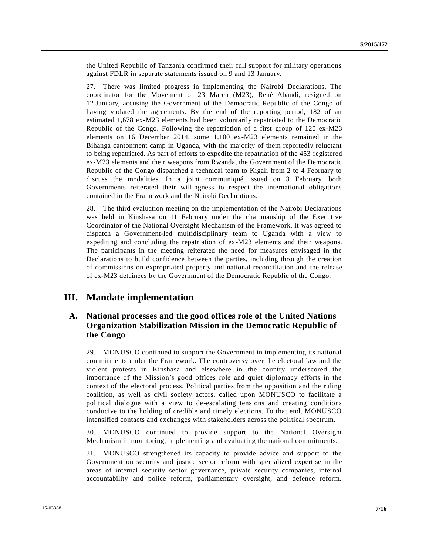the United Republic of Tanzania confirmed their full support for military operations against FDLR in separate statements issued on 9 and 13 January.

27. There was limited progress in implementing the Nairobi Declarations. The coordinator for the Movement of 23 March (M23), René Abandi, resigned on 12 January, accusing the Government of the Democratic Republic of the Congo of having violated the agreements. By the end of the reporting period, 182 of an estimated 1,678 ex-M23 elements had been voluntarily repatriated to the Democratic Republic of the Congo. Following the repatriation of a first group of 120 ex-M23 elements on 16 December 2014, some 1,100 ex-M23 elements remained in the Bihanga cantonment camp in Uganda, with the majority of them reportedly reluctant to being repatriated. As part of efforts to expedite the repatriation of the 453 registered ex-M23 elements and their weapons from Rwanda, the Government of the Democratic Republic of the Congo dispatched a technical team to Kigali from 2 to 4 February to discuss the modalities. In a joint communiqué issued on 3 February, both Governments reiterated their willingness to respect the international obligations contained in the Framework and the Nairobi Declarations.

28. The third evaluation meeting on the implementation of the Nairobi Declarations was held in Kinshasa on 11 February under the chairmanship of the Executive Coordinator of the National Oversight Mechanism of the Framework. It was agreed to dispatch a Government-led multidisciplinary team to Uganda with a view to expediting and concluding the repatriation of ex-M23 elements and their weapons. The participants in the meeting reiterated the need for measures envisaged in the Declarations to build confidence between the parties, including through the creation of commissions on expropriated property and national reconciliation and the release of ex-M23 detainees by the Government of the Democratic Republic of the Congo.

# **III. Mandate implementation**

## **A. National processes and the good offices role of the United Nations Organization Stabilization Mission in the Democratic Republic of the Congo**

29. MONUSCO continued to support the Government in implementing its national commitments under the Framework. The controversy over the electoral law and the violent protests in Kinshasa and elsewhere in the country underscored the importance of the Mission's good offices role and quiet diplomacy efforts in the context of the electoral process. Political parties from the opposition and the ruling coalition, as well as civil society actors, called upon MONUSCO to facilitate a political dialogue with a view to de-escalating tensions and creating conditions conducive to the holding of credible and timely elections. To that end, MONUSCO intensified contacts and exchanges with stakeholders across the political spectrum.

30. MONUSCO continued to provide support to the National Oversight Mechanism in monitoring, implementing and evaluating the national commitments.

31. MONUSCO strengthened its capacity to provide advice and support to the Government on security and justice sector reform with specialized expertise in the areas of internal security sector governance, private security companies, internal accountability and police reform, parliamentary oversight, and defence reform.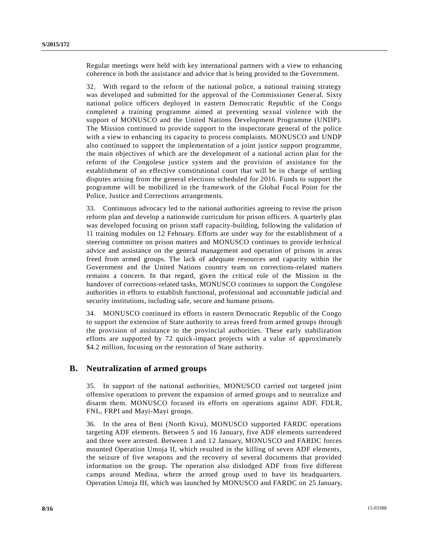Regular meetings were held with key international partners with a view to enhancing coherence in both the assistance and advice that is being provided to the Government.

32. With regard to the reform of the national police, a national training strategy was developed and submitted for the approval of the Commissioner General. Sixty national police officers deployed in eastern Democratic Republic of the Congo completed a training programme aimed at preventing sexual violence with the support of MONUSCO and the United Nations Development Programme (UNDP). The Mission continued to provide support to the inspectorate general of the police with a view to enhancing its capacity to process complaints. MONUSCO and UNDP also continued to support the implementation of a joint justice support programme, the main objectives of which are the development of a national action plan for the reform of the Congolese justice system and the provision of assistance for the establishment of an effective constitutional court that will be in charge of settling disputes arising from the general elections scheduled for 2016. Funds to support the programme will be mobilized in the framework of the Global Focal Point for the Police, Justice and Corrections arrangements.

33. Continuous advocacy led to the national authorities agreeing to revise the prison reform plan and develop a nationwide curriculum for prison officers. A quarterly plan was developed focusing on prison staff capacity-building, following the validation of 11 training modules on 12 February. Efforts are under way for the establishment of a steering committee on prison matters and MONUSCO continues to provide technical advice and assistance on the general management and operation of prisons in areas freed from armed groups. The lack of adequate resources and capacity within the Government and the United Nations country team on corrections-related matters remains a concern. In that regard, given the critical role of the Mission in the handover of corrections-related tasks, MONUSCO continues to support the Congolese authorities in efforts to establish functional, professional and accountable judicial and security institutions, including safe, secure and humane prisons.

34. MONUSCO continued its efforts in eastern Democratic Republic of the Congo to support the extension of State authority to areas freed from armed groups through the provision of assistance to the provincial authorities. These early stabilization efforts are supported by 72 quick-impact projects with a value of approximately \$4.2 million, focusing on the restoration of State authority.

#### **B. Neutralization of armed groups**

35. In support of the national authorities, MONUSCO carried out targeted joint offensive operations to prevent the expansion of armed groups and to neutralize and disarm them. MONUSCO focused its efforts on operations against ADF, FDLR, FNL, FRPI and Mayi-Mayi groups.

36. In the area of Beni (North Kivu), MONUSCO supported FARDC operations targeting ADF elements. Between 5 and 16 January, five ADF elements surrendered and three were arrested. Between 1 and 12 January, MONUSCO and FARDC forces mounted Operation Umoja II, which resulted in the killing of seven ADF elements, the seizure of five weapons and the recovery of several documents that provided information on the group. The operation also dislodged ADF from five different camps around Medina, where the armed group used to have its headquarters. Operation Umoja III, which was launched by MONUSCO and FARDC on 25 January,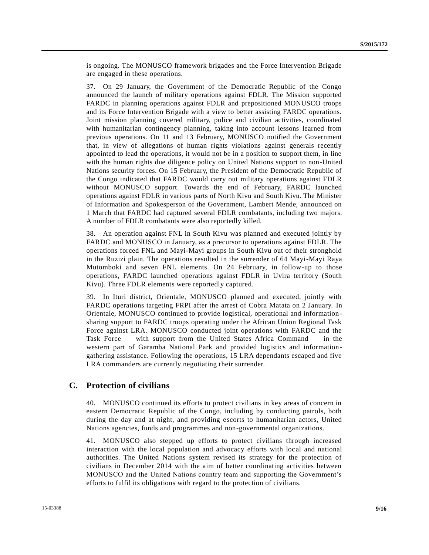is ongoing. The MONUSCO framework brigades and the Force Intervention Brigade are engaged in these operations.

37. On 29 January, the Government of the Democratic Republic of the Congo announced the launch of military operations against FDLR. The Mission supported FARDC in planning operations against FDLR and prepositioned MONUSCO troops and its Force Intervention Brigade with a view to better assisting FARDC operations. Joint mission planning covered military, police and civilian activities, coordinated with humanitarian contingency planning, taking into account lessons learned from previous operations. On 11 and 13 February, MONUSCO notified the Government that, in view of allegations of human rights violations against generals recently appointed to lead the operations, it would not be in a position to support them, in line with the human rights due diligence policy on United Nations support to non-United Nations security forces. On 15 February, the President of the Democratic Republic of the Congo indicated that FARDC would carry out military operations against FDLR without MONUSCO support. Towards the end of February, FARDC launched operations against FDLR in various parts of North Kivu and South Kivu. The Minister of Information and Spokesperson of the Government, Lambert Mende, announced on 1 March that FARDC had captured several FDLR combatants, including two majors. A number of FDLR combatants were also reportedly killed.

38. An operation against FNL in South Kivu was planned and executed jointly by FARDC and MONUSCO in January, as a precursor to operations against FDLR. The operations forced FNL and Mayi-Mayi groups in South Kivu out of their stronghold in the Ruzizi plain. The operations resulted in the surrender of 64 Mayi-Mayi Raya Mutomboki and seven FNL elements. On 24 February, in follow-up to those operations, FARDC launched operations against FDLR in Uvira territory (South Kivu). Three FDLR elements were reportedly captured.

39. In Ituri district, Orientale, MONUSCO planned and executed, jointly with FARDC operations targeting FRPI after the arrest of Cobra Matata on 2 January. In Orientale, MONUSCO continued to provide logistical, operational and information sharing support to FARDC troops operating under the African Union Regional Task Force against LRA. MONUSCO conducted joint operations with FARDC and the Task Force — with support from the United States Africa Command — in the western part of Garamba National Park and provided logistics and informationgathering assistance. Following the operations, 15 LRA dependants escaped and five LRA commanders are currently negotiating their surrender.

#### **C. Protection of civilians**

40. MONUSCO continued its efforts to protect civilians in key areas of concern in eastern Democratic Republic of the Congo, including by conducting patrols, both during the day and at night, and providing escorts to humanitarian actors, United Nations agencies, funds and programmes and non-governmental organizations.

41. MONUSCO also stepped up efforts to protect civilians through increased interaction with the local population and advocacy efforts with loc al and national authorities. The United Nations system revised its strategy for the protection of civilians in December 2014 with the aim of better coordinating activities between MONUSCO and the United Nations country team and supporting the Government's efforts to fulfil its obligations with regard to the protection of civilians.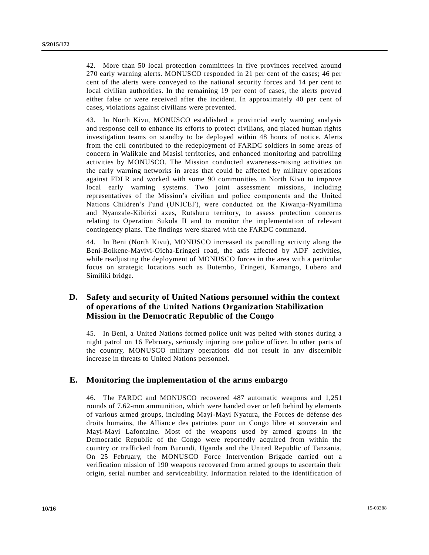42. More than 50 local protection committees in five provinces received around 270 early warning alerts. MONUSCO responded in 21 per cent of the cases; 46 per cent of the alerts were conveyed to the national security forces and 14 per cent to local civilian authorities. In the remaining 19 per cent of cases, the alerts proved either false or were received after the incident. In approximately 40 per cent of cases, violations against civilians were prevented.

43. In North Kivu, MONUSCO established a provincial early warning analysis and response cell to enhance its efforts to protect civilians, and placed human rights investigation teams on standby to be deployed within 48 hours of notice. Alerts from the cell contributed to the redeployment of FARDC soldiers in some areas of concern in Walikale and Masisi territories, and enhanced monitoring and patrolling activities by MONUSCO. The Mission conducted awareness-raising activities on the early warning networks in areas that could be affected by military operations against FDLR and worked with some 90 communities in North Kivu to improve local early warning systems. Two joint assessment missions, including representatives of the Mission's civilian and police components and the United Nations Children's Fund (UNICEF), were conducted on the Kiwanja-Nyamilima and Nyanzale-Kibirizi axes, Rutshuru territory, to assess protection concerns relating to Operation Sukola II and to monitor the implementation of relevant contingency plans. The findings were shared with the FARDC command.

44. In Beni (North Kivu), MONUSCO increased its patrolling activity along the Beni-Boikene-Mavivi-Oicha-Eringeti road, the axis affected by ADF activities, while readjusting the deployment of MONUSCO forces in the area with a particular focus on strategic locations such as Butembo, Eringeti, Kamango, Lubero and Similiki bridge.

# **D. Safety and security of United Nations personnel within the context of operations of the United Nations Organization Stabilization Mission in the Democratic Republic of the Congo**

45. In Beni, a United Nations formed police unit was pelted with stones during a night patrol on 16 February, seriously injuring one police officer. In other parts of the country, MONUSCO military operations did not result in any discernible increase in threats to United Nations personnel.

## **E. Monitoring the implementation of the arms embargo**

46. The FARDC and MONUSCO recovered 487 automatic weapons and 1,251 rounds of 7.62-mm ammunition, which were handed over or left behind by elements of various armed groups, including Mayi-Mayi Nyatura, the Forces de défense des droits humains, the Alliance des patriotes pour un Congo libre et souverain and Mayi-Mayi Lafontaine. Most of the weapons used by armed groups in the Democratic Republic of the Congo were reportedly acquired from within the country or trafficked from Burundi, Uganda and the United Republic of Tanzania. On 25 February, the MONUSCO Force Intervention Brigade carried out a verification mission of 190 weapons recovered from armed groups to ascertain their origin, serial number and serviceability. Information related to the identification of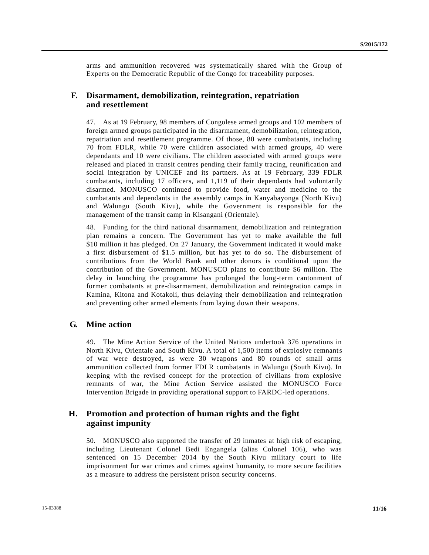arms and ammunition recovered was systematically shared with the Group of Experts on the Democratic Republic of the Congo for traceability purposes.

#### **F. Disarmament, demobilization, reintegration, repatriation and resettlement**

47. As at 19 February, 98 members of Congolese armed groups and 102 members of foreign armed groups participated in the disarmament, demobilization, reintegration, repatriation and resettlement programme. Of those, 80 were combatants, including 70 from FDLR, while 70 were children associated with armed groups, 40 were dependants and 10 were civilians. The children associated with armed groups were released and placed in transit centres pending their family tracing, reunification and social integration by UNICEF and its partners. As at 19 February, 339 FDLR combatants, including 17 officers, and 1,119 of their dependants had voluntarily disarmed. MONUSCO continued to provide food, water and medicine to the combatants and dependants in the assembly camps in Kanyabayonga (North Kivu) and Walungu (South Kivu), while the Government is responsible for the management of the transit camp in Kisangani (Orientale).

48. Funding for the third national disarmament, demobilization and reintegration plan remains a concern. The Government has yet to make available the full \$10 million it has pledged. On 27 January, the Government indicated it would make a first disbursement of \$1.5 million, but has yet to do so. The disbursement of contributions from the World Bank and other donors is conditional upon the contribution of the Government. MONUSCO plans to contribute \$6 million. The delay in launching the programme has prolonged the long-term cantonment of former combatants at pre-disarmament, demobilization and reintegration camps in Kamina, Kitona and Kotakoli, thus delaying their demobilization and reintegration and preventing other armed elements from laying down their weapons.

## **G. Mine action**

49. The Mine Action Service of the United Nations undertook 376 operations in North Kivu, Orientale and South Kivu. A total of 1,500 items of explosive remnants of war were destroyed, as were 30 weapons and 80 rounds of small arms ammunition collected from former FDLR combatants in Walungu (South Kivu). In keeping with the revised concept for the protection of civilians from explosive remnants of war, the Mine Action Service assisted the MONUSCO Force Intervention Brigade in providing operational support to FARDC-led operations.

## **H. Promotion and protection of human rights and the fight against impunity**

50. MONUSCO also supported the transfer of 29 inmates at high risk of escaping, including Lieutenant Colonel Bedi Engangela (alias Colonel 106), who was sentenced on 15 December 2014 by the South Kivu military court to life imprisonment for war crimes and crimes against humanity, to more secure facilities as a measure to address the persistent prison security concerns.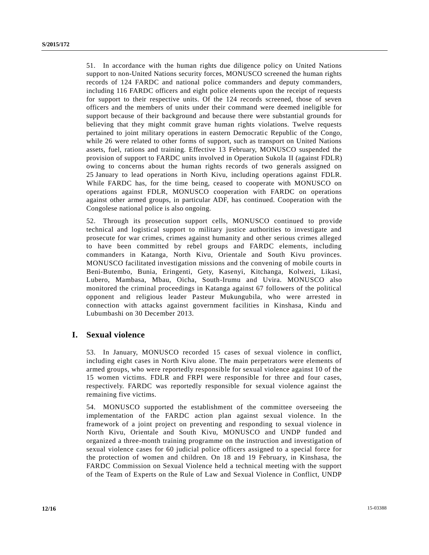51. In accordance with the human rights due diligence policy on United Nations support to non-United Nations security forces, MONUSCO screened the human rights records of 124 FARDC and national police commanders and deputy commanders, including 116 FARDC officers and eight police elements upon the receipt of requests for support to their respective units. Of the 124 records screened, those of seven officers and the members of units under their command were deemed ineligible for support because of their background and because there were substantial grounds for believing that they might commit grave human rights violations. Twelve requests pertained to joint military operations in eastern Democratic Republic of the Congo, while 26 were related to other forms of support, such as transport on United Nations assets, fuel, rations and training. Effective 13 February, MONUSCO suspended the provision of support to FARDC units involved in Operation Sukola II (against FDLR) owing to concerns about the human rights records of two generals assigned on 25 January to lead operations in North Kivu, including operations against FDLR. While FARDC has, for the time being, ceased to cooperate with MONUSCO on operations against FDLR, MONUSCO cooperation with FARDC on operations against other armed groups, in particular ADF, has continued. Cooperation with the Congolese national police is also ongoing.

52. Through its prosecution support cells, MONUSCO continued to provide technical and logistical support to military justice authorities to investigate and prosecute for war crimes, crimes against humanity and other serious crimes alleged to have been committed by rebel groups and FARDC elements, including commanders in Katanga, North Kivu, Orientale and South Kivu provinces. MONUSCO facilitated investigation missions and the convening of mobile courts in Beni-Butembo, Bunia, Eringenti, Gety, Kasenyi, Kitchanga, Kolwezi, Likasi, Lubero, Mambasa, Mbau, Oicha, South-Irumu and Uvira. MONUSCO also monitored the criminal proceedings in Katanga against 67 followers of the political opponent and religious leader Pasteur Mukungubila, who were arrested in connection with attacks against government facilities in Kinshasa, Kindu and Lubumbashi on 30 December 2013.

## **I. Sexual violence**

53. In January, MONUSCO recorded 15 cases of sexual violence in conflict, including eight cases in North Kivu alone. The main perpetrators were elements of armed groups, who were reportedly responsible for sexual violence against 10 of the 15 women victims. FDLR and FRPI were responsible for three and four cases, respectively. FARDC was reportedly responsible for sexual violence against the remaining five victims.

54. MONUSCO supported the establishment of the committee overseeing the implementation of the FARDC action plan against sexual violence. In the framework of a joint project on preventing and responding to sexual violence in North Kivu, Orientale and South Kivu, MONUSCO and UNDP funded and organized a three-month training programme on the instruction and investigation of sexual violence cases for 60 judicial police officers assigned to a special force for the protection of women and children. On 18 and 19 February, in Kinshasa, the FARDC Commission on Sexual Violence held a technical meeting with the support of the Team of Experts on the Rule of Law and Sexual Violence in Conflict, UNDP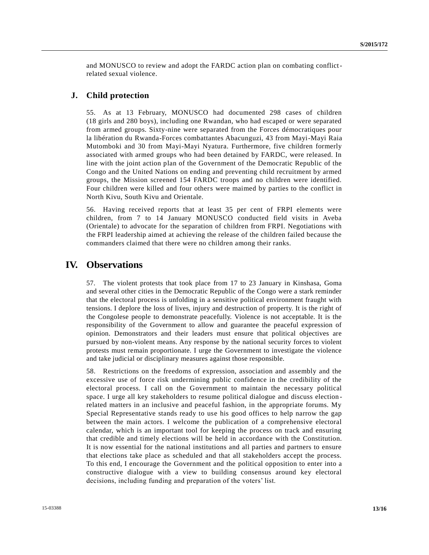and MONUSCO to review and adopt the FARDC action plan on combating conflictrelated sexual violence.

#### **J. Child protection**

55. As at 13 February, MONUSCO had documented 298 cases of children (18 girls and 280 boys), including one Rwandan, who had escaped or were separated from armed groups. Sixty-nine were separated from the Forces démocratiques pour la libération du Rwanda-Forces combattantes Abacunguzi, 43 from Mayi-Mayi Raia Mutomboki and 30 from Mayi-Mayi Nyatura. Furthermore, five children formerly associated with armed groups who had been detained by FARDC, were released. In line with the joint action plan of the Government of the Democratic Republic of the Congo and the United Nations on ending and preventing child recruitment by armed groups, the Mission screened 154 FARDC troops and no children were identified. Four children were killed and four others were maimed by parties to the conflict in North Kivu, South Kivu and Orientale.

56. Having received reports that at least 35 per cent of FRPI elements were children, from 7 to 14 January MONUSCO conducted field visits in Aveba (Orientale) to advocate for the separation of children from FRPI. Negotiations with the FRPI leadership aimed at achieving the release of the children failed because the commanders claimed that there were no children among their ranks.

# **IV. Observations**

57. The violent protests that took place from 17 to 23 January in Kinshasa, Goma and several other cities in the Democratic Republic of the Congo were a stark reminder that the electoral process is unfolding in a sensitive political environment fraught with tensions. I deplore the loss of lives, injury and destruction of property. It is the right of the Congolese people to demonstrate peacefully. Violence is not acceptable. It is the responsibility of the Government to allow and guarantee the peaceful expression of opinion. Demonstrators and their leaders must ensure that political objectives are pursued by non-violent means. Any response by the national security forces to violent protests must remain proportionate. I urge the Government to investigate the violence and take judicial or disciplinary measures against those responsible.

58. Restrictions on the freedoms of expression, association and assembly and the excessive use of force risk undermining public confidence in the credibility of the electoral process. I call on the Government to maintain the necessary political space. I urge all key stakeholders to resume political dialogue and discuss election related matters in an inclusive and peaceful fashion, in the appropriate forums. My Special Representative stands ready to use his good offices to help narrow the gap between the main actors. I welcome the publication of a comprehensive electoral calendar, which is an important tool for keeping the process on track and ensuring that credible and timely elections will be held in accordance with the Constitution. It is now essential for the national institutions and all parties and partners to ensure that elections take place as scheduled and that all stakeholders accept the process. To this end, I encourage the Government and the political opposition to enter into a constructive dialogue with a view to building consensus around key electoral decisions, including funding and preparation of the voters' list.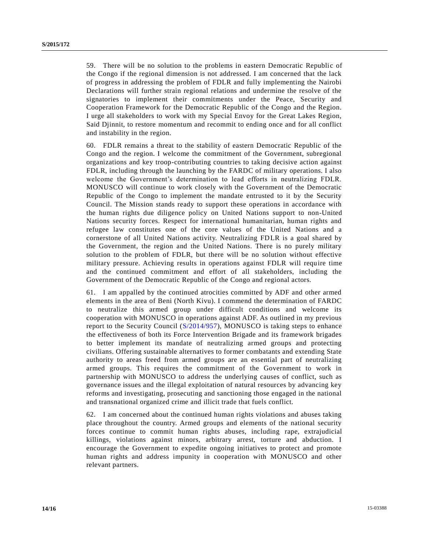59. There will be no solution to the problems in eastern Democratic Republic of the Congo if the regional dimension is not addressed. I am concerned that the lack of progress in addressing the problem of FDLR and fully implementing the Nairobi Declarations will further strain regional relations and undermine the resolve of the signatories to implement their commitments under the Peace, Security and Cooperation Framework for the Democratic Republic of the Congo and the Region. I urge all stakeholders to work with my Special Envoy for the Great Lakes Region, Said Djinnit, to restore momentum and recommit to ending once and for all conflict and instability in the region.

60. FDLR remains a threat to the stability of eastern Democratic Republic of the Congo and the region. I welcome the commitment of the Government, subregional organizations and key troop-contributing countries to taking decisive action against FDLR, including through the launching by the FARDC of military operations. I also welcome the Government's determination to lead efforts in neutralizing FDLR. MONUSCO will continue to work closely with the Government of the Democratic Republic of the Congo to implement the mandate entrusted to it by the Security Council. The Mission stands ready to support these operations in accordance with the human rights due diligence policy on United Nations support to non-United Nations security forces. Respect for international humanitarian, human rights and refugee law constitutes one of the core values of the United Nations and a cornerstone of all United Nations activity. Neutralizing FDLR is a goal shared by the Government, the region and the United Nations. There is no purely military solution to the problem of FDLR, but there will be no solution without effective military pressure. Achieving results in operations against FDLR will require time and the continued commitment and effort of all stakeholders, including the Government of the Democratic Republic of the Congo and regional actors.

61. I am appalled by the continued atrocities committed by ADF and other armed elements in the area of Beni (North Kivu). I commend the determination of FARDC to neutralize this armed group under difficult conditions and welcome its cooperation with MONUSCO in operations against ADF. As outlined in my previous report to the Security Council [\(S/2014/957\)](http://undocs.org/S/2014/957), MONUSCO is taking steps to enhance the effectiveness of both its Force Intervention Brigade and its framework brigades to better implement its mandate of neutralizing armed groups and protecting civilians. Offering sustainable alternatives to former combatants and extending State authority to areas freed from armed groups are an essential part of neutralizing armed groups. This requires the commitment of the Government to work in partnership with MONUSCO to address the underlying causes of conflict, such as governance issues and the illegal exploitation of natural resources by advancing key reforms and investigating, prosecuting and sanctioning those engaged in the national and transnational organized crime and illicit trade that fuels conflict.

62. I am concerned about the continued human rights violations and abuses taking place throughout the country. Armed groups and elements of the national security forces continue to commit human rights abuses, including rape, extrajudicial killings, violations against minors, arbitrary arrest, torture and abduction. I encourage the Government to expedite ongoing initiatives to protect and promote human rights and address impunity in cooperation with MONUSCO and other relevant partners.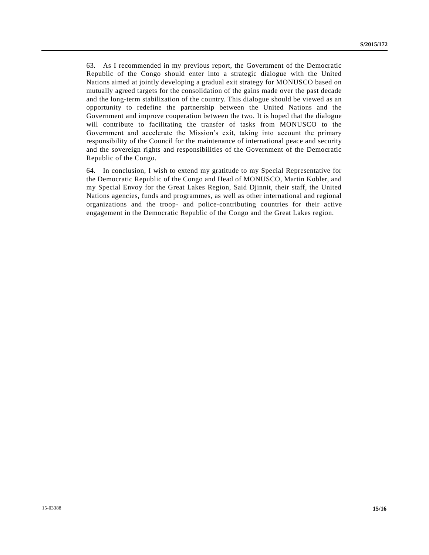63. As I recommended in my previous report, the Government of the Democratic Republic of the Congo should enter into a strategic dialogue with the United Nations aimed at jointly developing a gradual exit strategy for MONUSCO based on mutually agreed targets for the consolidation of the gains made over the past decade and the long-term stabilization of the country. This dialogue should be viewed as an opportunity to redefine the partnership between the United Nations and the Government and improve cooperation between the two. It is hoped that the dialogue will contribute to facilitating the transfer of tasks from MONUSCO to the Government and accelerate the Mission's exit, taking into account the primary responsibility of the Council for the maintenance of international peace and security and the sovereign rights and responsibilities of the Government of the Democratic Republic of the Congo.

64. In conclusion, I wish to extend my gratitude to my Special Representative for the Democratic Republic of the Congo and Head of MONUSCO, Martin Kobler, and my Special Envoy for the Great Lakes Region, Said Djinnit, their staff, the United Nations agencies, funds and programmes, as well as other international and regional organizations and the troop- and police-contributing countries for their active engagement in the Democratic Republic of the Congo and the Great Lakes region.